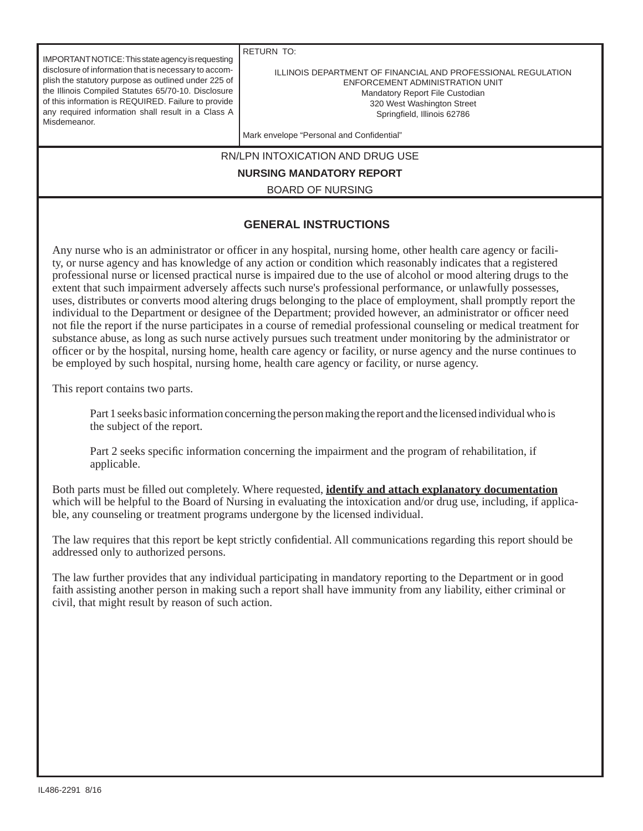IMPORTANT NOTICE: This state agency is requesting disclosure of information that is necessary to accomplish the statutory purpose as outlined under 225 of the Illinois Compiled Statutes 65/70-10. Disclosure of this information is REQUIRED. Failure to provide any required information shall result in a Class A Misdemeanor.

RETURN TO:

ILLINOIS DEPARTMENT OF FINANCIAL AND PROFESSIONAL REGULATION ENFORCEMENT ADMINISTRATION UNIT Mandatory Report File Custodian 320 West Washington Street Springfield, Illinois 62786

Mark envelope "Personal and Confidential"

RN/LPN INTOXICATION AND DRUG USE

**NURSING MANDATORY REPORT**

BOARD OF NURSING

## **GENERAL INSTRUCTIONS**

Any nurse who is an administrator or officer in any hospital, nursing home, other health care agency or facility, or nurse agency and has knowledge of any action or condition which reasonably indicates that a registered professional nurse or licensed practical nurse is impaired due to the use of alcohol or mood altering drugs to the extent that such impairment adversely affects such nurse's professional performance, or unlawfully possesses, uses, distributes or converts mood altering drugs belonging to the place of employment, shall promptly report the individual to the Department or designee of the Department; provided however, an administrator or officer need not file the report if the nurse participates in a course of remedial professional counseling or medical treatment for substance abuse, as long as such nurse actively pursues such treatment under monitoring by the administrator or offi cer or by the hospital, nursing home, health care agency or facility, or nurse agency and the nurse continues to be employed by such hospital, nursing home, health care agency or facility, or nurse agency.

This report contains two parts.

 Part 1 seeks basic information concerning the person making the report and the licensed individual who is the subject of the report.

Part 2 seeks specific information concerning the impairment and the program of rehabilitation, if applicable.

Both parts must be filled out completely. Where requested, **identify and attach explanatory documentation** which will be helpful to the Board of Nursing in evaluating the intoxication and/or drug use, including, if applicable, any counseling or treatment programs undergone by the licensed individual.

The law requires that this report be kept strictly confidential. All communications regarding this report should be addressed only to authorized persons.

The law further provides that any individual participating in mandatory reporting to the Department or in good faith assisting another person in making such a report shall have immunity from any liability, either criminal or civil, that might result by reason of such action.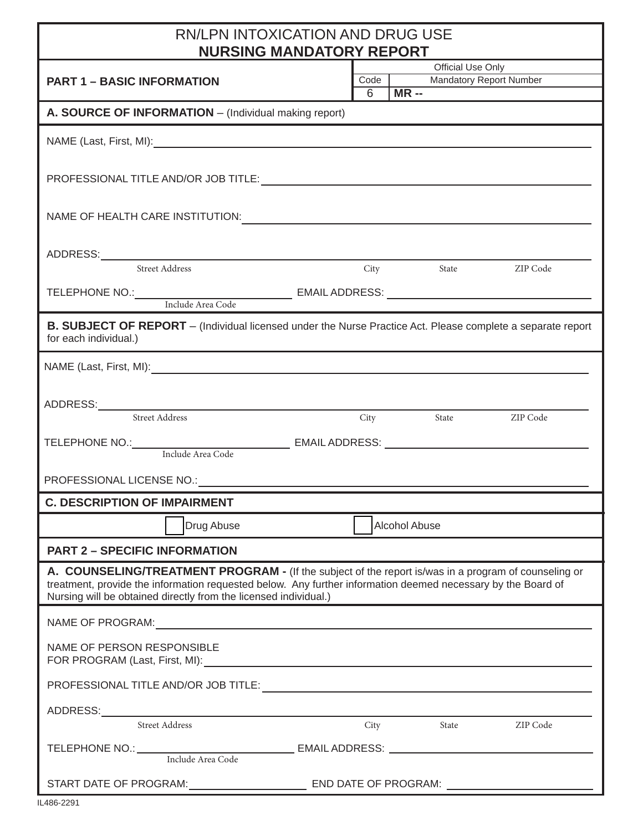| <b>RN/LPN INTOXICATION AND DRUG USE</b><br><b>NURSING MANDATORY REPORT</b>                                                                                                                                                     |  |  |  |  |
|--------------------------------------------------------------------------------------------------------------------------------------------------------------------------------------------------------------------------------|--|--|--|--|
| <b>Official Use Only</b><br>Code<br><b>Mandatory Report Number</b><br><b>PART 1 - BASIC INFORMATION</b><br>$MR -$<br>6                                                                                                         |  |  |  |  |
| A. SOURCE OF INFORMATION - (Individual making report)                                                                                                                                                                          |  |  |  |  |
| NAME (Last, First, MI): NAME (Last, First, MI):                                                                                                                                                                                |  |  |  |  |
|                                                                                                                                                                                                                                |  |  |  |  |
|                                                                                                                                                                                                                                |  |  |  |  |
|                                                                                                                                                                                                                                |  |  |  |  |
| City<br>State ZIP Code                                                                                                                                                                                                         |  |  |  |  |
|                                                                                                                                                                                                                                |  |  |  |  |
| B. SUBJECT OF REPORT - (Individual licensed under the Nurse Practice Act. Please complete a separate report                                                                                                                    |  |  |  |  |
| for each individual.)                                                                                                                                                                                                          |  |  |  |  |
|                                                                                                                                                                                                                                |  |  |  |  |
|                                                                                                                                                                                                                                |  |  |  |  |
| City State ZIP Code                                                                                                                                                                                                            |  |  |  |  |
|                                                                                                                                                                                                                                |  |  |  |  |
|                                                                                                                                                                                                                                |  |  |  |  |
| PROFESSIONAL LICENSE NO.: THE SERVICE SERVICE SERVICE SERVICE SERVICE SERVICE SERVICE SERVICE SERVICE SERVICE S<br><b>C. DESCRIPTION OF IMPAIRMENT</b>                                                                         |  |  |  |  |
| Alcohol Abuse<br>Drug Abuse                                                                                                                                                                                                    |  |  |  |  |
| <b>PART 2 - SPECIFIC INFORMATION</b>                                                                                                                                                                                           |  |  |  |  |
| A. COUNSELING/TREATMENT PROGRAM - (If the subject of the report is/was in a program of counseling or<br>treatment, provide the information requested below. Any further information deemed necessary by the Board of           |  |  |  |  |
| Nursing will be obtained directly from the licensed individual.)                                                                                                                                                               |  |  |  |  |
| NAME OF PROGRAM: NAME OF PROGRAM:<br>NAME OF PERSON RESPONSIBLE                                                                                                                                                                |  |  |  |  |
| FOR PROGRAM (Last, First, MI): Notice that the contract of the contract of the contract of the contract of the contract of the contract of the contract of the contract of the contract of the contract of the contract of the |  |  |  |  |
|                                                                                                                                                                                                                                |  |  |  |  |
| ADDRESS: ADDRESS:                                                                                                                                                                                                              |  |  |  |  |
| Street Address<br>City State ZIP Code                                                                                                                                                                                          |  |  |  |  |
| TELEPHONE NO.: Include Area Code EMAIL ADDRESS: _________________________________                                                                                                                                              |  |  |  |  |
|                                                                                                                                                                                                                                |  |  |  |  |